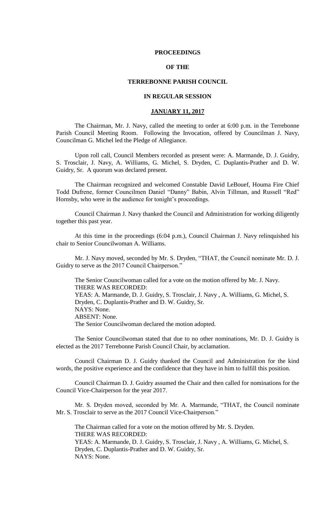### **PROCEEDINGS**

## **OF THE**

## **TERREBONNE PARISH COUNCIL**

## **IN REGULAR SESSION**

## **JANUARY 11, 2017**

The Chairman, Mr. J. Navy, called the meeting to order at 6:00 p.m. in the Terrebonne Parish Council Meeting Room. Following the Invocation, offered by Councilman J. Navy, Councilman G. Michel led the Pledge of Allegiance.

Upon roll call, Council Members recorded as present were: A. Marmande, D. J. Guidry, S. Trosclair, J. Navy, A. Williams, G. Michel, S. Dryden, C. Duplantis-Prather and D. W. Guidry, Sr. A quorum was declared present.

The Chairman recognized and welcomed Constable David LeBouef, Houma Fire Chief Todd Dufrene, former Councilmen Daniel "Danny" Babin, Alvin Tillman, and Russell "Red" Hornsby, who were in the audience for tonight's proceedings.

Council Chairman J. Navy thanked the Council and Administration for working diligently together this past year.

At this time in the proceedings (6:04 p.m.), Council Chairman J. Navy relinquished his chair to Senior Councilwoman A. Williams.

Mr. J. Navy moved, seconded by Mr. S. Dryden, "THAT, the Council nominate Mr. D. J. Guidry to serve as the 2017 Council Chairperson."

The Senior Councilwoman called for a vote on the motion offered by Mr. J. Navy. THERE WAS RECORDED: YEAS: A. Marmande, D. J. Guidry, S. Trosclair, J. Navy , A. Williams, G. Michel, S. Dryden, C. Duplantis-Prather and D. W. Guidry, Sr. NAYS: None. ABSENT: None. The Senior Councilwoman declared the motion adopted.

The Senior Councilwoman stated that due to no other nominations, Mr. D. J. Guidry is elected as the 2017 Terrebonne Parish Council Chair, by acclamation.

Council Chairman D. J. Guidry thanked the Council and Administration for the kind words, the positive experience and the confidence that they have in him to fulfill this position.

Council Chairman D. J. Guidry assumed the Chair and then called for nominations for the Council Vice-Chairperson for the year 2017.

Mr. S. Dryden moved, seconded by Mr. A. Marmande, "THAT, the Council nominate Mr. S. Trosclair to serve as the 2017 Council Vice-Chairperson."

The Chairman called for a vote on the motion offered by Mr. S. Dryden. THERE WAS RECORDED: YEAS: A. Marmande, D. J. Guidry, S. Trosclair, J. Navy , A. Williams, G. Michel, S. Dryden, C. Duplantis-Prather and D. W. Guidry, Sr. NAYS: None.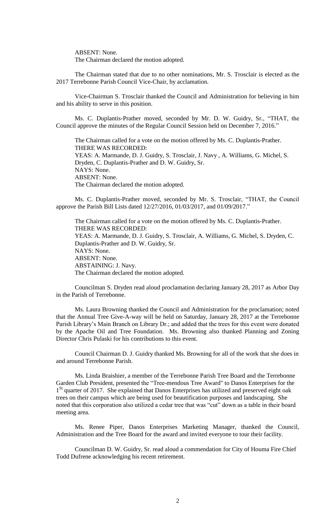ABSENT: None.

The Chairman declared the motion adopted.

The Chairman stated that due to no other nominations, Mr. S. Trosclair is elected as the 2017 Terrebonne Parish Council Vice-Chair, by acclamation.

Vice-Chairman S. Trosclair thanked the Council and Administration for believing in him and his ability to serve in this position.

Ms. C. Duplantis-Prather moved, seconded by Mr. D. W. Guidry, Sr., "THAT, the Council approve the minutes of the Regular Council Session held on December 7, 2016."

The Chairman called for a vote on the motion offered by Ms. C. Duplantis-Prather. THERE WAS RECORDED: YEAS: A. Marmande, D. J. Guidry, S. Trosclair, J. Navy , A. Williams, G. Michel, S. Dryden, C. Duplantis-Prather and D. W. Guidry, Sr. NAYS: None. ABSENT: None. The Chairman declared the motion adopted.

Ms. C. Duplantis-Prather moved, seconded by Mr. S. Trosclair, "THAT, the Council approve the Parish Bill Lists dated 12/27/2016, 01/03/2017, and 01/09/2017."

The Chairman called for a vote on the motion offered by Ms. C. Duplantis-Prather. THERE WAS RECORDED: YEAS: A. Marmande, D. J. Guidry, S. Trosclair, A. Williams, G. Michel, S. Dryden, C. Duplantis-Prather and D. W. Guidry, Sr. NAYS: None. ABSENT: None. ABSTAINING: J. Navy. The Chairman declared the motion adopted.

Councilman S. Dryden read aloud proclamation declaring January 28, 2017 as Arbor Day in the Parish of Terrebonne.

Ms. Laura Browning thanked the Council and Administration for the proclamation; noted that the Annual Tree Give-A-way will be held on Saturday, January 28, 2017 at the Terrebonne Parish Library's Main Branch on Library Dr.; and added that the trees for this event were donated by the Apache Oil and Tree Foundation. Ms. Browning also thanked Planning and Zoning Director Chris Pulaski for his contributions to this event.

Council Chairman D. J. Guidry thanked Ms. Browning for all of the work that she does in and around Terrebonne Parish.

Ms. Linda Braishier, a member of the Terrebonne Parish Tree Board and the Terrebonne Garden Club President, presented the "Tree-mendous Tree Award" to Danos Enterprises for the 1<sup>St</sup> quarter of 2017. She explained that Danos Enterprises has utilized and preserved eight oak trees on their campus which are being used for beautification purposes and landscaping. She noted that this corporation also utilized a cedar tree that was "cut" down as a table in their board meeting area.

Ms. Renee Piper, Danos Enterprises Marketing Manager, thanked the Council, Administration and the Tree Board for the award and invited everyone to tour their facility.

Councilman D. W. Guidry, Sr. read aloud a commendation for City of Houma Fire Chief Todd Dufrene acknowledging his recent retirement.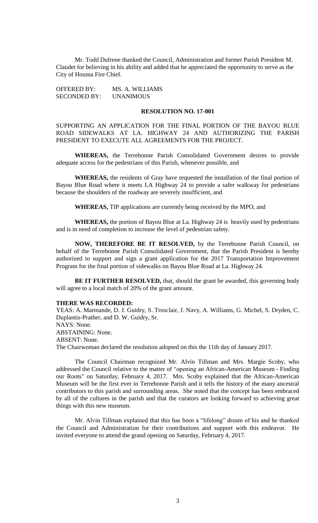Mr. Todd Dufrene thanked the Council, Administration and former Parish President M. Claudet for believing in his ability and added that he appreciated the opportunity to serve as the City of Houma Fire Chief.

OFFERED BY: MS. A. WILLIAMS SECONDED BY: UNANIMOUS

#### **RESOLUTION NO. 17-001**

SUPPORTING AN APPLICATION FOR THE FINAL PORTION OF THE BAYOU BLUE ROAD SIDEWALKS AT LA. HIGHWAY 24 AND AUTHORIZING THE PARISH PRESIDENT TO EXECUTE ALL AGREEMENTS FOR THE PROJECT.

**WHEREAS,** the Terrebonne Parish Consolidated Government desires to provide adequate access for the pedestrians of this Parish, whenever possible, and

**WHEREAS,** the residents of Gray have requested the installation of the final portion of Bayou Blue Road where it meets LA Highway 24 to provide a safer walkway for pedestrians because the shoulders of the roadway are severely insufficient, and

**WHEREAS,** TIP applications are currently being received by the MPO, and

**WHEREAS,** the portion of Bayou Blue at La. Highway 24 is heavily used by pedestrians and is in need of completion to increase the level of pedestrian safety.

**NOW, THEREFORE BE IT RESOLVED,** by the Terrebonne Parish Council, on behalf of the Terrebonne Parish Consolidated Government, that the Parish President is hereby authorized to support and sign a grant application for the 2017 Transportation Improvement Program for the final portion of sidewalks on Bayou Blue Road at La. Highway 24.

**BE IT FURTHER RESOLVED,** that, should the grant be awarded, this governing body will agree to a local match of 20% of the grant amount.

### **THERE WAS RECORDED:**

YEAS: A. Marmande, D. J. Guidry, S. Trosclair, J. Navy, A. Williams, G. Michel, S. Dryden, C. Duplantis-Prather, and D. W. Guidry, Sr. NAYS: None. ABSTAINING: None. ABSENT: None. The Chairwoman declared the resolution adopted on this the 11th day of January 2017.

The Council Chairman recognized Mr. Alvin Tillman and Mrs. Margie Scoby, who addressed the Council relative to the matter of "opening an African-American Museum - Finding our Roots" on Saturday, February 4, 2017. Mrs. Scoby explained that the African-American Museum will be the first ever in Terrebonne Parish and it tells the history of the many ancestral contributors to this parish and surrounding areas. She noted that the concept has been embraced by all of the cultures in the parish and that the curators are looking forward to achieving great things with this new museum.

Mr. Alvin Tillman explained that this has been a "lifelong" dream of his and he thanked the Council and Administration for their contributions and support with this endeavor. He invited everyone to attend the grand opening on Saturday, February 4, 2017.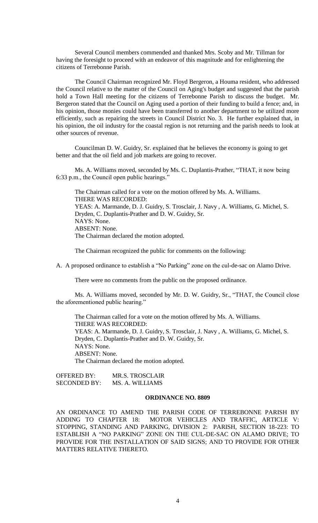Several Council members commended and thanked Mrs. Scoby and Mr. Tillman for having the foresight to proceed with an endeavor of this magnitude and for enlightening the citizens of Terrebonne Parish.

The Council Chairman recognized Mr. Floyd Bergeron, a Houma resident, who addressed the Council relative to the matter of the Council on Aging's budget and suggested that the parish hold a Town Hall meeting for the citizens of Terrebonne Parish to discuss the budget. Mr. Bergeron stated that the Council on Aging used a portion of their funding to build a fence; and, in his opinion, those monies could have been transferred to another department to be utilized more efficiently, such as repairing the streets in Council District No. 3. He further explained that, in his opinion, the oil industry for the coastal region is not returning and the parish needs to look at other sources of revenue.

Councilman D. W. Guidry, Sr. explained that he believes the economy is going to get better and that the oil field and job markets are going to recover.

Ms. A. Williams moved, seconded by Ms. C. Duplantis-Prather, "THAT, it now being 6:33 p.m., the Council open public hearings."

The Chairman called for a vote on the motion offered by Ms. A. Williams. THERE WAS RECORDED: YEAS: A. Marmande, D. J. Guidry, S. Trosclair, J. Navy , A. Williams, G. Michel, S. Dryden, C. Duplantis-Prather and D. W. Guidry, Sr. NAYS: None. ABSENT: None. The Chairman declared the motion adopted.

The Chairman recognized the public for comments on the following:

A. A proposed ordinance to establish a "No Parking" zone on the cul-de-sac on Alamo Drive.

There were no comments from the public on the proposed ordinance.

Ms. A. Williams moved, seconded by Mr. D. W. Guidry, Sr., "THAT, the Council close the aforementioned public hearing."

The Chairman called for a vote on the motion offered by Ms. A. Williams. THERE WAS RECORDED: YEAS: A. Marmande, D. J. Guidry, S. Trosclair, J. Navy , A. Williams, G. Michel, S. Dryden, C. Duplantis-Prather and D. W. Guidry, Sr. NAYS: None. ABSENT: None. The Chairman declared the motion adopted.

| OFFERED BY:         | <b>MR.S. TROSCLAIR</b> |
|---------------------|------------------------|
| <b>SECONDED BY:</b> | MS. A. WILLIAMS        |

## **ORDINANCE NO. 8809**

AN ORDINANCE TO AMEND THE PARISH CODE OF TERREBONNE PARISH BY ADDING TO CHAPTER 18: MOTOR VEHICLES AND TRAFFIC, ARTICLE V: STOPPING, STANDING AND PARKING, DIVISION 2: PARISH, SECTION 18-223: TO ESTABLISH A "NO PARKING" ZONE ON THE CUL-DE-SAC ON ALAMO DRIVE; TO PROVIDE FOR THE INSTALLATION OF SAID SIGNS; AND TO PROVIDE FOR OTHER MATTERS RELATIVE THERETO.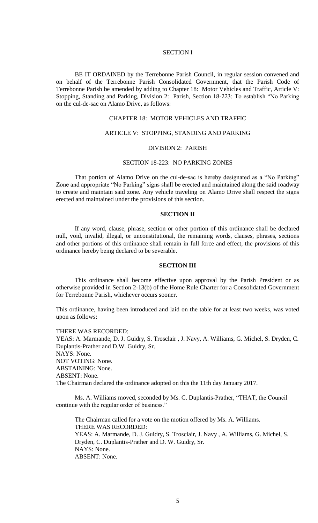### SECTION I

BE IT ORDAINED by the Terrebonne Parish Council, in regular session convened and on behalf of the Terrebonne Parish Consolidated Government, that the Parish Code of Terrebonne Parish be amended by adding to Chapter 18: Motor Vehicles and Traffic, Article V: Stopping, Standing and Parking, Division 2: Parish, Section 18-223: To establish "No Parking on the cul-de-sac on Alamo Drive, as follows:

### CHAPTER 18: MOTOR VEHICLES AND TRAFFIC

# ARTICLE V: STOPPING, STANDING AND PARKING

## DIVISION 2: PARISH

# SECTION 18-223: NO PARKING ZONES

That portion of Alamo Drive on the cul-de-sac is hereby designated as a "No Parking" Zone and appropriate "No Parking" signs shall be erected and maintained along the said roadway to create and maintain said zone. Any vehicle traveling on Alamo Drive shall respect the signs erected and maintained under the provisions of this section.

## **SECTION II**

If any word, clause, phrase, section or other portion of this ordinance shall be declared null, void, invalid, illegal, or unconstitutional, the remaining words, clauses, phrases, sections and other portions of this ordinance shall remain in full force and effect, the provisions of this ordinance hereby being declared to be severable.

#### **SECTION III**

This ordinance shall become effective upon approval by the Parish President or as otherwise provided in Section 2-13(b) of the Home Rule Charter for a Consolidated Government for Terrebonne Parish, whichever occurs sooner.

This ordinance, having been introduced and laid on the table for at least two weeks, was voted upon as follows:

#### THERE WAS RECORDED:

YEAS: A. Marmande, D. J. Guidry, S. Trosclair , J. Navy, A. Williams, G. Michel, S. Dryden, C. Duplantis-Prather and D.W. Guidry, Sr. NAYS: None. NOT VOTING: None. ABSTAINING: None. ABSENT: None. The Chairman declared the ordinance adopted on this the 11th day January 2017.

Ms. A. Williams moved, seconded by Ms. C. Duplantis-Prather, "THAT, the Council continue with the regular order of business."

The Chairman called for a vote on the motion offered by Ms. A. Williams. THERE WAS RECORDED: YEAS: A. Marmande, D. J. Guidry, S. Trosclair, J. Navy , A. Williams, G. Michel, S. Dryden, C. Duplantis-Prather and D. W. Guidry, Sr. NAYS: None. ABSENT: None.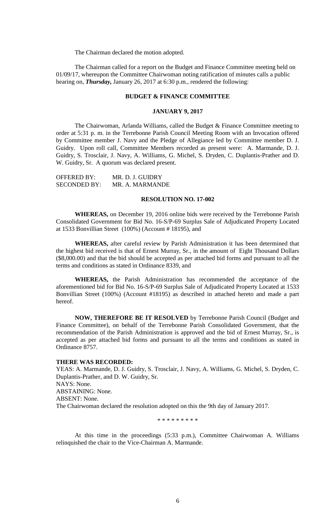The Chairman declared the motion adopted.

The Chairman called for a report on the Budget and Finance Committee meeting held on 01/09/17, whereupon the Committee Chairwoman noting ratification of minutes calls a public hearing on, *Thursday,* January 26, 2017 at 6:30 p.m., rendered the following:

# **BUDGET & FINANCE COMMITTEE**

### **JANUARY 9, 2017**

The Chairwoman, Arlanda Williams, called the Budget & Finance Committee meeting to order at 5:31 p. m. in the Terrebonne Parish Council Meeting Room with an Invocation offered by Committee member J. Navy and the Pledge of Allegiance led by Committee member D. J. Guidry. Upon roll call, Committee Members recorded as present were: A. Marmande, D. J. Guidry, S. Trosclair, J. Navy, A. Williams, G. Michel, S. Dryden, C. Duplantis-Prather and D. W. Guidry, Sr. A quorum was declared present.

| <b>OFFERED BY:</b>  | MR. D. J. GUIDRY |
|---------------------|------------------|
| <b>SECONDED BY:</b> | MR. A. MARMANDE  |

### **RESOLUTION NO. 17-002**

**WHEREAS,** on December 19, 2016 online bids were received by the Terrebonne Parish Consolidated Government for Bid No. 16-S/P-69 Surplus Sale of Adjudicated Property Located at 1533 Bonvillian Street (100%) (Account # 18195), and

**WHEREAS,** after careful review by Parish Administration it has been determined that the highest bid received is that of Ernest Murray, Sr., in the amount of Eight Thousand Dollars (\$8,000.00) and that the bid should be accepted as per attached bid forms and pursuant to all the terms and conditions as stated in Ordinance 8339, and

**WHEREAS,** the Parish Administration has recommended the acceptance of the aforementioned bid for Bid No. 16-S/P-69 Surplus Sale of Adjudicated Property Located at 1533 Bonvillian Street (100%) (Account #18195) as described in attached hereto and made a part hereof.

**NOW, THEREFORE BE IT RESOLVED** by Terrebonne Parish Council (Budget and Finance Committee), on behalf of the Terrebonne Parish Consolidated Government, that the recommendation of the Parish Administration is approved and the bid of Ernest Murray, Sr., is accepted as per attached bid forms and pursuant to all the terms and conditions as stated in Ordinance 8757.

#### **THERE WAS RECORDED:**

YEAS: A. Marmande, D. J. Guidry, S. Trosclair, J. Navy, A. Williams, G. Michel, S. Dryden, C. Duplantis-Prather, and D. W. Guidry, Sr. NAYS: None. ABSTAINING: None. ABSENT: None. The Chairwoman declared the resolution adopted on this the 9th day of January 2017.

\* \* \* \* \* \* \* \*

At this time in the proceedings (5:33 p.m.), Committee Chairwoman A. Williams relinquished the chair to the Vice-Chairman A. Marmande.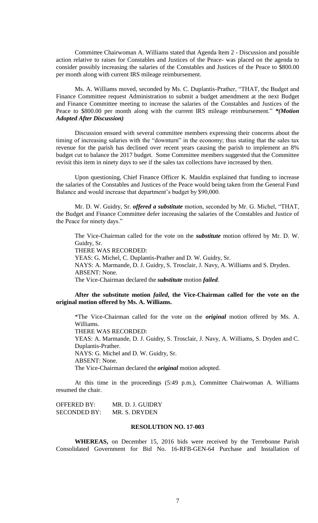Committee Chairwoman A. Williams stated that Agenda Item 2 - Discussion and possible action relative to raises for Constables and Justices of the Peace- was placed on the agenda to consider possibly increasing the salaries of the Constables and Justices of the Peace to \$800.00 per month along with current IRS mileage reimbursement.

Ms. A. Williams moved, seconded by Ms. C. Duplantis-Prather, "THAT, the Budget and Finance Committee request Administration to submit a budget amendment at the next Budget and Finance Committee meeting to increase the salaries of the Constables and Justices of the Peace to \$800.00 per month along with the current IRS mileage reimbursement." *\*(Motion Adopted After Discussion)*

Discussion ensued with several committee members expressing their concerns about the timing of increasing salaries with the "downturn" in the economy; thus stating that the sales tax revenue for the parish has declined over recent years causing the parish to implement an 8% budget cut to balance the 2017 budget. Some Committee members suggested that the Committee revisit this item in ninety days to see if the sales tax collections have increased by then.

Upon questioning, Chief Finance Officer K. Mauldin explained that funding to increase the salaries of the Constables and Justices of the Peace would being taken from the General Fund Balance and would increase that department's budget by \$90,000.

Mr. D. W. Guidry, Sr. *offered a substitute* motion, seconded by Mr. G. Michel, "THAT, the Budget and Finance Committee defer increasing the salaries of the Constables and Justice of the Peace for ninety days."

The Vice-Chairman called for the vote on the *substitute* motion offered by Mr. D. W. Guidry, Sr.

THERE WAS RECORDED:

YEAS: G. Michel, C. Duplantis-Prather and D. W. Guidry, Sr. NAYS: A. Marmande, D. J. Guidry, S. Trosclair, J. Navy, A. Williams and S. Dryden. ABSENT: None. The Vice-Chairman declared the *substitute* motion *failed*.

# **After the substitute motion** *failed***, the Vice-Chairman called for the vote on the original motion offered by Ms. A. Williams.**

\*The Vice-Chairman called for the vote on the *original* motion offered by Ms. A. Williams.

THERE WAS RECORDED:

YEAS: A. Marmande, D. J. Guidry, S. Trosclair, J. Navy, A. Williams, S. Dryden and C. Duplantis-Prather. NAYS: G. Michel and D. W. Guidry, Sr. ABSENT: None. The Vice-Chairman declared the *original* motion adopted.

At this time in the proceedings (5:49 p.m.), Committee Chairwoman A. Williams resumed the chair.

| OFFERED BY:         | MR. D. J. GUIDRY |
|---------------------|------------------|
| <b>SECONDED BY:</b> | MR. S. DRYDEN    |

## **RESOLUTION NO. 17-003**

**WHEREAS,** on December 15, 2016 bids were received by the Terrebonne Parish Consolidated Government for Bid No. 16-RFB-GEN-64 Purchase and Installation of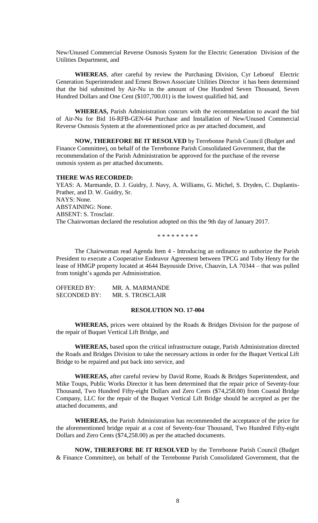New/Unused Commercial Reverse Osmosis System for the Electric Generation Division of the Utilities Department, and

**WHEREAS**, after careful by review the Purchasing Division, Cyr Leboeuf Electric Generation Superintendent and Ernest Brown Associate Utilities Director it has been determined that the bid submitted by Air-Nu in the amount of One Hundred Seven Thousand, Seven Hundred Dollars and One Cent (\$107,700.01) is the lowest qualified bid, and

**WHEREAS,** Parish Administration concurs with the recommendation to award the bid of Air-Nu for Bid 16-RFB-GEN-64 Purchase and Installation of New/Unused Commercial Reverse Osmosis System at the aforementioned price as per attached document, and

**NOW, THEREFORE BE IT RESOLVED** by Terrebonne Parish Council (Budget and Finance Committee), on behalf of the Terrebonne Parish Consolidated Government, that the recommendation of the Parish Administration be approved for the purchase of the reverse osmosis system as per attached documents.

#### **THERE WAS RECORDED:**

YEAS: A. Marmande, D. J. Guidry, J. Navy, A. Williams, G. Michel, S. Dryden, C. Duplantis-Prather, and D. W. Guidry, Sr. NAYS: None. ABSTAINING: None. ABSENT: S. Trosclair. The Chairwoman declared the resolution adopted on this the 9th day of January 2017.

\* \* \* \* \* \* \* \* \*

The Chairwoman read Agenda Item 4 - Introducing an ordinance to authorize the Parish President to execute a Cooperative Endeavor Agreement between TPCG and Toby Henry for the lease of HMGP property located at 4644 Bayouside Drive, Chauvin, LA 70344 – that was pulled from tonight's agenda per Administration.

| <b>OFFERED BY:</b>  | MR. A. MARMANDE  |
|---------------------|------------------|
| <b>SECONDED BY:</b> | MR. S. TROSCLAIR |

#### **RESOLUTION NO. 17-004**

**WHEREAS,** prices were obtained by the Roads & Bridges Division for the purpose of the repair of Buquet Vertical Lift Bridge, and

**WHEREAS,** based upon the critical infrastructure outage, Parish Administration directed the Roads and Bridges Division to take the necessary actions in order for the Buquet Vertical Lift Bridge to be repaired and put back into service, and

**WHEREAS,** after careful review by David Rome, Roads & Bridges Superintendent, and Mike Toups, Public Works Director it has been determined that the repair price of Seventy-four Thousand, Two Hundred Fifty-eight Dollars and Zero Cents (\$74,258.00) from Coastal Bridge Company, LLC for the repair of the Buquet Vertical Lift Bridge should be accepted as per the attached documents, and

**WHEREAS,** the Parish Administration has recommended the acceptance of the price for the aforementioned bridge repair at a cost of Seventy-four Thousand, Two Hundred Fifty-eight Dollars and Zero Cents (\$74,258.00) as per the attached documents.

**NOW, THEREFORE BE IT RESOLVED** by the Terrebonne Parish Council (Budget & Finance Committee), on behalf of the Terrebonne Parish Consolidated Government, that the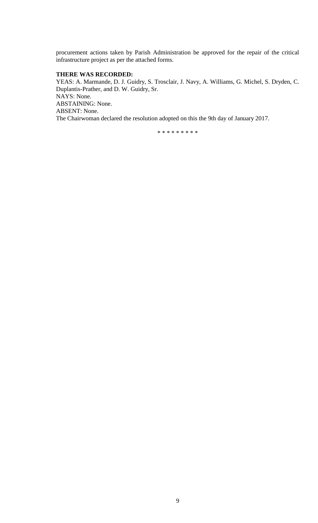procurement actions taken by Parish Administration be approved for the repair of the critical infrastructure project as per the attached forms.

# **THERE WAS RECORDED:**

YEAS: A. Marmande, D. J. Guidry, S. Trosclair, J. Navy, A. Williams, G. Michel, S. Dryden, C. Duplantis-Prather, and D. W. Guidry, Sr. NAYS: None. ABSTAINING: None. ABSENT: None. The Chairwoman declared the resolution adopted on this the 9th day of January 2017.

\* \* \* \* \* \* \* \* \*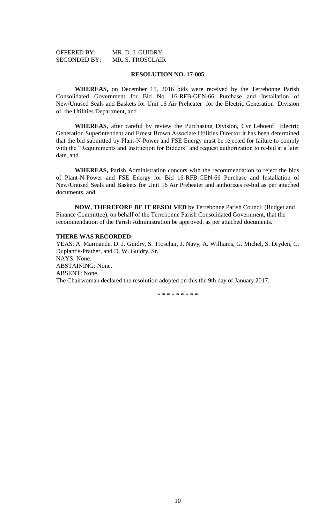| <b>OFFERED BY:</b>  | MR. D. J. GUIDRY        |
|---------------------|-------------------------|
| <b>SECONDED BY:</b> | <b>MR. S. TROSCLAIR</b> |

### **RESOLUTION NO. 17-005**

**WHEREAS,** on December 15, 2016 bids were received by the Terrebonne Parish Consolidated Government for Bid No. 16-RFB-GEN-66 Purchase and Installation of New/Unused Seals and Baskets for Unit 16 Air Preheater for the Electric Generation Division of the Utilities Department, and

**WHEREAS**, after careful by review the Purchasing Division, Cyr Leboeuf Electric Generation Superintendent and Ernest Brown Associate Utilities Director it has been determined that the bid submitted by Plant-N-Power and FSE Energy must be rejected for failure to comply with the "Requirements and Instruction for Bidders" and request authorization to re-bid at a later date, and

**WHEREAS,** Parish Administration concurs with the recommendation to reject the bids of Plant-N-Power and FSE Energy for Bid 16-RFB-GEN-66 Purchase and Installation of New/Unused Seals and Baskets for Unit 16 Air Preheater and authorizes re-bid as per attached documents, and

**NOW, THEREFORE BE IT RESOLVED** by Terrebonne Parish Council (Budget and Finance Committee), on behalf of the Terrebonne Parish Consolidated Government, that the recommendation of the Parish Administration be approved, as per attached documents.

#### **THERE WAS RECORDED:**

YEAS: A. Marmande, D. J. Guidry, S. Trosclair, J. Navy, A. Williams, G. Michel, S. Dryden, C. Duplantis-Prather, and D. W. Guidry, Sr. NAYS: None. ABSTAINING: None. ABSENT: None. The Chairwoman declared the resolution adopted on this the 9th day of January 2017.

\* \* \* \* \* \* \* \* \*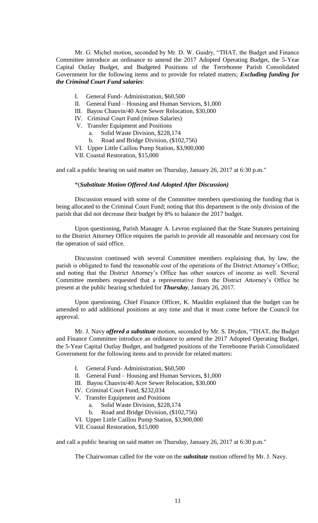Mr. G. Michel motion, seconded by Mr. D. W. Guidry, "THAT, the Budget and Finance Committee introduce an ordinance to amend the 2017 Adopted Operating Budget, the 5-Year Capital Outlay Budget, and Budgeted Positions of the Terrebonne Parish Consolidated Government for the following items and to provide for related matters; *Excluding funding for the Criminal Court Fund salaries*:

- I. General Fund- Administration, \$60,500
- II. General Fund Housing and Human Services, \$1,000
- III. Bayou Chauvin/40 Acre Sewer Relocation, \$30,000
- IV. Criminal Court Fund (minus Salaries)
- V. Transfer Equipment and Positions
	- a. Solid Waste Division, \$228,174
	- b. Road and Bridge Division, (\$102,756)
- VI. Upper Little Caillou Pump Station, \$3,900,000
- VII. Coastal Restoration, \$15,000

and call a public hearing on said matter on Thursday, January 26, 2017 at 6:30 p.m."

#### \*(*Substitute Motion Offered And Adopted After Discussion)*

Discussion ensued with some of the Committee members questioning the funding that is being allocated to the Criminal Court Fund; noting that this department is the only division of the parish that did not decrease their budget by 8% to balance the 2017 budget.

Upon questioning, Parish Manager A. Levron explained that the State Statutes pertaining to the District Attorney Office requires the parish to provide all reasonable and necessary cost for the operation of said office.

Discussion continued with several Committee members explaining that, by law, the parish is obligated to fund the reasonable cost of the operations of the District Attorney's Office; and noting that the District Attorney's Office has other sources of income as well. Several Committee members requested that a representative from the District Attorney's Office be present at the public hearing scheduled for *Thursday*, January 26, 2017.

Upon questioning, Chief Finance Officer, K. Mauldin explained that the budget can be amended to add additional positions at any time and that it must come before the Council for approval.

Mr. J. Navy *offered a substitute* motion, seconded by Mr. S. Dryden, "THAT, the Budget and Finance Committee introduce an ordinance to amend the 2017 Adopted Operating Budget, the 5-Year Capital Outlay Budget, and budgeted positions of the Terrebonne Parish Consolidated Government for the following items and to provide for related matters:

- I. General Fund- Administration, \$60,500
- II. General Fund Housing and Human Services, \$1,000
- III. Bayou Chauvin/40 Acre Sewer Relocation, \$30,000
- IV. Criminal Court Fund, \$232,034
- V. Transfer Equipment and Positions
	- a. Solid Waste Division, \$228,174
	- b. Road and Bridge Division, (\$102,756)
- VI. Upper Little Caillou Pump Station, \$3,900,000
- VII. Coastal Restoration, \$15,000

and call a public hearing on said matter on Thursday, January 26, 2017 at 6:30 p.m."

The Chairwoman called for the vote on the *substitute* motion offered by Mr. J. Navy.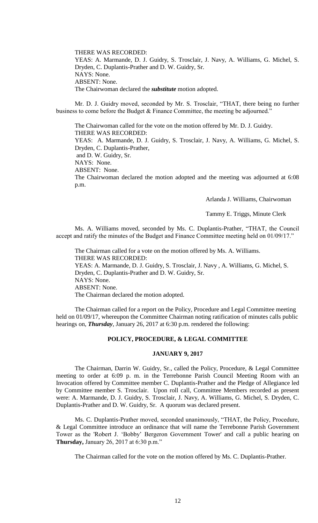THERE WAS RECORDED: YEAS: A. Marmande, D. J. Guidry, S. Trosclair, J. Navy, A. Williams, G. Michel, S. Dryden, C. Duplantis-Prather and D. W. Guidry, Sr. NAYS: None. ABSENT: None. The Chairwoman declared the *substitute* motion adopted.

Mr. D. J. Guidry moved, seconded by Mr. S. Trosclair, "THAT, there being no further business to come before the Budget & Finance Committee, the meeting be adjourned."

The Chairwoman called for the vote on the motion offered by Mr. D. J. Guidry. THERE WAS RECORDED: YEAS: A. Marmande, D. J. Guidry, S. Trosclair, J. Navy, A. Williams, G. Michel, S. Dryden, C. Duplantis-Prather,

and D. W. Guidry, Sr.

NAYS: None.

ABSENT: None.

The Chairwoman declared the motion adopted and the meeting was adjourned at 6:08 p.m.

Arlanda J. Williams, Chairwoman

Tammy E. Triggs, Minute Clerk

Ms. A. Williams moved, seconded by Ms. C. Duplantis-Prather, "THAT, the Council accept and ratify the minutes of the Budget and Finance Committee meeting held on 01/09/17."

The Chairman called for a vote on the motion offered by Ms. A. Williams. THERE WAS RECORDED: YEAS: A. Marmande, D. J. Guidry, S. Trosclair, J. Navy , A. Williams, G. Michel, S. Dryden, C. Duplantis-Prather and D. W. Guidry, Sr. NAYS: None. ABSENT: None. The Chairman declared the motion adopted.

The Chairman called for a report on the Policy, Procedure and Legal Committee meeting held on 01/09/17, whereupon the Committee Chairman noting ratification of minutes calls public hearings on, *Thursday*, January 26, 2017 at 6:30 p.m. rendered the following:

### **POLICY, PROCEDURE, & LEGAL COMMITTEE**

### **JANUARY 9, 2017**

The Chairman, Darrin W. Guidry, Sr., called the Policy, Procedure, & Legal Committee meeting to order at 6:09 p. m. in the Terrebonne Parish Council Meeting Room with an Invocation offered by Committee member C. Duplantis-Prather and the Pledge of Allegiance led by Committee member S. Trosclair. Upon roll call, Committee Members recorded as present were: A. Marmande, D. J. Guidry, S. Trosclair, J. Navy, A. Williams, G. Michel, S. Dryden, C. Duplantis-Prather and D. W. Guidry, Sr. A quorum was declared present.

Ms. C. Duplantis-Prather moved, seconded unanimously, "THAT, the Policy, Procedure, & Legal Committee introduce an ordinance that will name the Terrebonne Parish Government Tower as the 'Robert J. 'Bobby' Bergeron Government Tower' and call a public hearing on **Thursday,** January 26, 2017 at 6:30 p.m."

The Chairman called for the vote on the motion offered by Ms. C. Duplantis-Prather.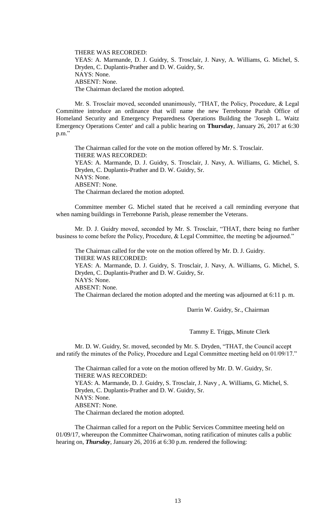THERE WAS RECORDED: YEAS: A. Marmande, D. J. Guidry, S. Trosclair, J. Navy, A. Williams, G. Michel, S. Dryden, C. Duplantis-Prather and D. W. Guidry, Sr. NAYS: None. ABSENT: None. The Chairman declared the motion adopted.

Mr. S. Trosclair moved, seconded unanimously, "THAT, the Policy, Procedure, & Legal Committee introduce an ordinance that will name the new Terrebonne Parish Office of Homeland Security and Emergency Preparedness Operations Building the 'Joseph L. Waitz Emergency Operations Center' and call a public hearing on **Thursday**, January 26, 2017 at 6:30 p.m."

The Chairman called for the vote on the motion offered by Mr. S. Trosclair. THERE WAS RECORDED: YEAS: A. Marmande, D. J. Guidry, S. Trosclair, J. Navy, A. Williams, G. Michel, S. Dryden, C. Duplantis-Prather and D. W. Guidry, Sr. NAYS: None. ABSENT: None. The Chairman declared the motion adopted.

Committee member G. Michel stated that he received a call reminding everyone that when naming buildings in Terrebonne Parish, please remember the Veterans.

Mr. D. J. Guidry moved, seconded by Mr. S. Trosclair, "THAT, there being no further business to come before the Policy, Procedure, & Legal Committee, the meeting be adjourned."

The Chairman called for the vote on the motion offered by Mr. D. J. Guidry. THERE WAS RECORDED: YEAS: A. Marmande, D. J. Guidry, S. Trosclair, J. Navy, A. Williams, G. Michel, S. Dryden, C. Duplantis-Prather and D. W. Guidry, Sr. NAYS: None. ABSENT: None. The Chairman declared the motion adopted and the meeting was adjourned at 6:11 p. m.

Darrin W. Guidry, Sr., Chairman

Tammy E. Triggs, Minute Clerk

Mr. D. W. Guidry, Sr. moved, seconded by Mr. S. Dryden, "THAT, the Council accept and ratify the minutes of the Policy, Procedure and Legal Committee meeting held on 01/09/17."

The Chairman called for a vote on the motion offered by Mr. D. W. Guidry, Sr. THERE WAS RECORDED: YEAS: A. Marmande, D. J. Guidry, S. Trosclair, J. Navy , A. Williams, G. Michel, S. Dryden, C. Duplantis-Prather and D. W. Guidry, Sr. NAYS: None. ABSENT: None. The Chairman declared the motion adopted.

The Chairman called for a report on the Public Services Committee meeting held on 01/09/17, whereupon the Committee Chairwoman, noting ratification of minutes calls a public hearing on, *Thursday*, January 26, 2016 at 6:30 p.m. rendered the following: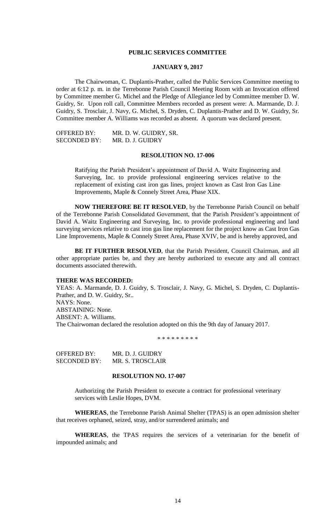### **PUBLIC SERVICES COMMITTEE**

## **JANUARY 9, 2017**

The Chairwoman, C. Duplantis-Prather, called the Public Services Committee meeting to order at 6:12 p. m. in the Terrebonne Parish Council Meeting Room with an Invocation offered by Committee member G. Michel and the Pledge of Allegiance led by Committee member D. W. Guidry, Sr. Upon roll call, Committee Members recorded as present were: A. Marmande, D. J. Guidry, S. Trosclair, J. Navy, G. Michel, S. Dryden, C. Duplantis-Prather and D. W. Guidry, Sr. Committee member A. Williams was recorded as absent. A quorum was declared present.

| <b>OFFERED BY:</b>  | MR. D. W. GUIDRY, SR. |
|---------------------|-----------------------|
| <b>SECONDED BY:</b> | MR. D. J. GUIDRY      |

## **RESOLUTION NO. 17-006**

Ratifying the Parish President's appointment of David A. Waitz Engineering and Surveying, Inc. to provide professional engineering services relative to the replacement of existing cast iron gas lines, project known as Cast Iron Gas Line Improvements, Maple & Connely Street Area, Phase XIX.

**NOW THEREFORE BE IT RESOLVED**, by the Terrebonne Parish Council on behalf of the Terrebonne Parish Consolidated Government, that the Parish President's appointment of David A. Waitz Engineering and Surveying, Inc. to provide professional engineering and land surveying services relative to cast iron gas line replacement for the project know as Cast Iron Gas Line Improvements, Maple & Connely Street Area, Phase XVIV, be and is hereby approved, and

**BE IT FURTHER RESOLVED**, that the Parish President, Council Chairman, and all other appropriate parties be, and they are hereby authorized to execute any and all contract documents associated therewith.

#### **THERE WAS RECORDED:**

YEAS: A. Marmande, D. J. Guidry, S. Trosclair, J. Navy, G. Michel, S. Dryden, C. Duplantis-Prather, and D. W. Guidry, Sr.. NAYS: None. ABSTAINING: None. ABSENT: A. Williams. The Chairwoman declared the resolution adopted on this the 9th day of January 2017.

\* \* \* \* \* \* \* \* \*

| OFFERED BY:  | MR. D. J. GUIDRY |
|--------------|------------------|
| SECONDED BY: | MR. S. TROSCLAIR |

#### **RESOLUTION NO. 17-007**

Authorizing the Parish President to execute a contract for professional veterinary services with Leslie Hopes, DVM.

**WHEREAS**, the Terrebonne Parish Animal Shelter (TPAS) is an open admission shelter that receives orphaned, seized, stray, and/or surrendered animals; and

**WHEREAS**, the TPAS requires the services of a veterinarian for the benefit of impounded animals; and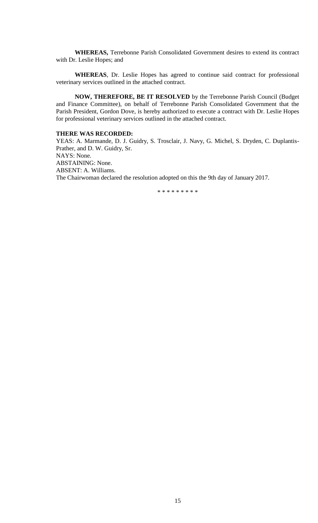**WHEREAS,** Terrebonne Parish Consolidated Government desires to extend its contract with Dr. Leslie Hopes; and

**WHEREAS**, Dr. Leslie Hopes has agreed to continue said contract for professional veterinary services outlined in the attached contract.

**NOW, THEREFORE, BE IT RESOLVED** by the Terrebonne Parish Council (Budget and Finance Committee), on behalf of Terrebonne Parish Consolidated Government that the Parish President, Gordon Dove, is hereby authorized to execute a contract with Dr. Leslie Hopes for professional veterinary services outlined in the attached contract.

## **THERE WAS RECORDED:**

YEAS: A. Marmande, D. J. Guidry, S. Trosclair, J. Navy, G. Michel, S. Dryden, C. Duplantis-Prather, and D. W. Guidry, Sr. NAYS: None. ABSTAINING: None. ABSENT: A. Williams. The Chairwoman declared the resolution adopted on this the 9th day of January 2017.

\* \* \* \* \* \* \* \* \*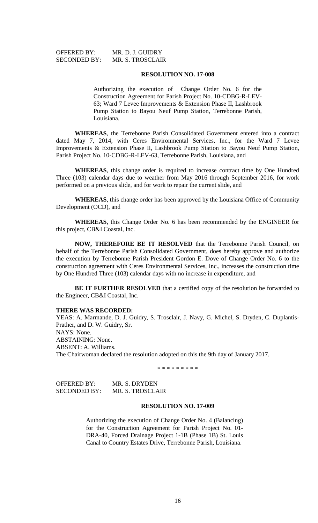| OFFERED BY:         | MR. D. J. GUIDRY |
|---------------------|------------------|
| <b>SECONDED BY:</b> | MR. S. TROSCLAIR |

#### **RESOLUTION NO. 17-008**

Authorizing the execution of Change Order No. 6 for the Construction Agreement for Parish Project No. 10-CDBG-R-LEV-63; Ward 7 Levee Improvements & Extension Phase II, Lashbrook Pump Station to Bayou Neuf Pump Station, Terrebonne Parish, Louisiana.

**WHEREAS**, the Terrebonne Parish Consolidated Government entered into a contract dated May 7, 2014, with Ceres Environmental Services, Inc., for the Ward 7 Levee Improvements & Extension Phase II, Lashbrook Pump Station to Bayou Neuf Pump Station, Parish Project No. 10-CDBG-R-LEV-63, Terrebonne Parish, Louisiana, and

**WHEREAS**, this change order is required to increase contract time by One Hundred Three (103) calendar days due to weather from May 2016 through September 2016, for work performed on a previous slide, and for work to repair the current slide, and

**WHEREAS**, this change order has been approved by the Louisiana Office of Community Development (OCD), and

**WHEREAS**, this Change Order No. 6 has been recommended by the ENGINEER for this project, CB&I Coastal, Inc.

**NOW, THEREFORE BE IT RESOLVED** that the Terrebonne Parish Council, on behalf of the Terrebonne Parish Consolidated Government, does hereby approve and authorize the execution by Terrebonne Parish President Gordon E. Dove of Change Order No. 6 to the construction agreement with Ceres Environmental Services, Inc., increases the construction time by One Hundred Three (103) calendar days with no increase in expenditure, and

BE IT FURTHER RESOLVED that a certified copy of the resolution be forwarded to the Engineer, CB&I Coastal, Inc.

#### **THERE WAS RECORDED:**

YEAS: A. Marmande, D. J. Guidry, S. Trosclair, J. Navy, G. Michel, S. Dryden, C. Duplantis-Prather, and D. W. Guidry, Sr. NAYS: None. ABSTAINING: None. ABSENT: A. Williams. The Chairwoman declared the resolution adopted on this the 9th day of January 2017.

\* \* \* \* \* \* \* \* \*

| <b>OFFERED BY:</b>  | MR. S. DRYDEN    |
|---------------------|------------------|
| <b>SECONDED BY:</b> | MR. S. TROSCLAIR |

#### **RESOLUTION NO. 17-009**

Authorizing the execution of Change Order No. 4 (Balancing) for the Construction Agreement for Parish Project No. 01- DRA-40, Forced Drainage Project 1-1B (Phase 1B) St. Louis Canal to Country Estates Drive, Terrebonne Parish, Louisiana.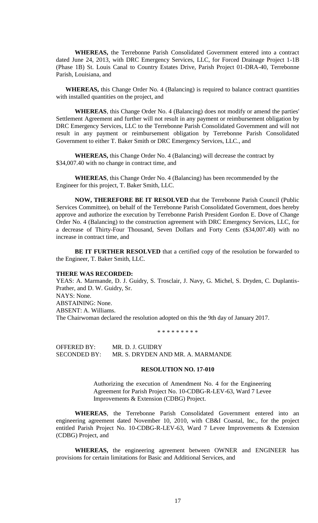**WHEREAS,** the Terrebonne Parish Consolidated Government entered into a contract dated June 24, 2013, with DRC Emergency Services, LLC, for Forced Drainage Project 1-1B (Phase 1B) St. Louis Canal to Country Estates Drive, Parish Project 01-DRA-40, Terrebonne Parish, Louisiana, and

**WHEREAS,** this Change Order No. 4 (Balancing) is required to balance contract quantities with installed quantities on the project, and

**WHEREAS**, this Change Order No. 4 (Balancing) does not modify or amend the parties' Settlement Agreement and further will not result in any payment or reimbursement obligation by DRC Emergency Services, LLC to the Terrebonne Parish Consolidated Government and will not result in any payment or reimbursement obligation by Terrebonne Parish Consolidated Government to either T. Baker Smith or DRC Emergency Services, LLC., and

**WHEREAS,** this Change Order No. 4 (Balancing) will decrease the contract by \$34,007.40 with no change in contract time, and

**WHEREAS**, this Change Order No. 4 (Balancing) has been recommended by the Engineer for this project, T. Baker Smith, LLC.

**NOW, THEREFORE BE IT RESOLVED** that the Terrebonne Parish Council (Public Services Committee), on behalf of the Terrebonne Parish Consolidated Government, does hereby approve and authorize the execution by Terrebonne Parish President Gordon E. Dove of Change Order No. 4 (Balancing) to the construction agreement with DRC Emergency Services, LLC, for a decrease of Thirty-Four Thousand, Seven Dollars and Forty Cents (\$34,007.40) with no increase in contract time, and

BE IT FURTHER RESOLVED that a certified copy of the resolution be forwarded to the Engineer, T. Baker Smith, LLC.

#### **THERE WAS RECORDED:**

YEAS: A. Marmande, D. J. Guidry, S. Trosclair, J. Navy, G. Michel, S. Dryden, C. Duplantis-Prather, and D. W. Guidry, Sr. NAYS: None. ABSTAINING: None. ABSENT: A. Williams. The Chairwoman declared the resolution adopted on this the 9th day of January 2017.

\* \* \* \* \* \* \* \* \*

OFFERED BY: MR. D. J. GUIDRY SECONDED BY: MR. S. DRYDEN AND MR. A. MARMANDE

### **RESOLUTION NO. 17-010**

Authorizing the execution of Amendment No. 4 for the Engineering Agreement for Parish Project No. 10-CDBG-R-LEV-63, Ward 7 Levee Improvements & Extension (CDBG) Project.

**WHEREAS**, the Terrebonne Parish Consolidated Government entered into an engineering agreement dated November 10, 2010, with CB&I Coastal, Inc., for the project entitled Parish Project No. 10-CDBG-R-LEV-63, Ward 7 Levee Improvements & Extension (CDBG) Project, and

**WHEREAS,** the engineering agreement between OWNER and ENGINEER has provisions for certain limitations for Basic and Additional Services, and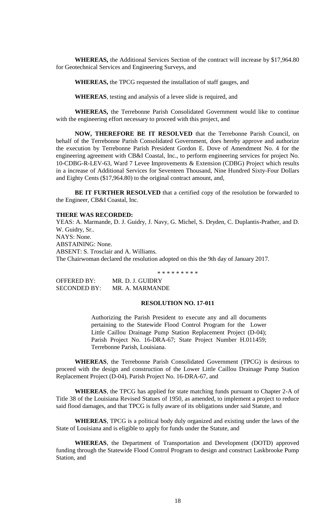**WHEREAS,** the Additional Services Section of the contract will increase by \$17,964.80 for Geotechnical Services and Engineering Surveys, and

**WHEREAS,** the TPCG requested the installation of staff gauges, and

**WHEREAS**, testing and analysis of a levee slide is required, and

**WHEREAS,** the Terrebonne Parish Consolidated Government would like to continue with the engineering effort necessary to proceed with this project, and

**NOW, THEREFORE BE IT RESOLVED** that the Terrebonne Parish Council, on behalf of the Terrebonne Parish Consolidated Government, does hereby approve and authorize the execution by Terrebonne Parish President Gordon E. Dove of Amendment No. 4 for the engineering agreement with CB&I Coastal, Inc., to perform engineering services for project No. 10-CDBG-R-LEV-63, Ward 7 Levee Improvements & Extension (CDBG) Project which results in a increase of Additional Services for Seventeen Thousand, Nine Hundred Sixty-Four Dollars and Eighty Cents (\$17,964.80) to the original contract amount, and,

BE IT FURTHER RESOLVED that a certified copy of the resolution be forwarded to the Engineer, CB&I Coastal, Inc.

## **THERE WAS RECORDED:**

YEAS: A. Marmande, D. J. Guidry, J. Navy, G. Michel, S. Dryden, C. Duplantis-Prather, and D. W. Guidry, Sr.. NAYS: None. ABSTAINING: None. ABSENT: S. Trosclair and A. Williams. The Chairwoman declared the resolution adopted on this the 9th day of January 2017.

\* \* \* \* \* \* \* \* \*

OFFERED BY: MR. D. J. GUIDRY SECONDED BY: MR. A. MARMANDE

## **RESOLUTION NO. 17-011**

Authorizing the Parish President to execute any and all documents pertaining to the Statewide Flood Control Program for the Lower Little Caillou Drainage Pump Station Replacement Project (D-04); Parish Project No. 16-DRA-67; State Project Number H.011459; Terrebonne Parish, Louisiana.

**WHEREAS**, the Terrebonne Parish Consolidated Government (TPCG) is desirous to proceed with the design and construction of the Lower Little Caillou Drainage Pump Station Replacement Project (D-04), Parish Project No. 16-DRA-67, and

**WHEREAS**, the TPCG has applied for state matching funds pursuant to Chapter 2-A of Title 38 of the Louisiana Revised Statues of 1950, as amended, to implement a project to reduce said flood damages, and that TPCG is fully aware of its obligations under said Statute, and

**WHEREAS**, TPCG is a political body duly organized and existing under the laws of the State of Louisiana and is eligible to apply for funds under the Statute, and

**WHEREAS**, the Department of Transportation and Development (DOTD) approved funding through the Statewide Flood Control Program to design and construct Laskbrooke Pump Station, and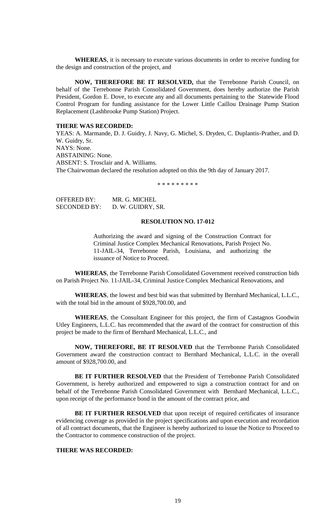**WHEREAS**, it is necessary to execute various documents in order to receive funding for the design and construction of the project, and

**NOW, THEREFORE BE IT RESOLVED,** that the Terrebonne Parish Council, on behalf of the Terrebonne Parish Consolidated Government, does hereby authorize the Parish President, Gordon E. Dove, to execute any and all documents pertaining to the Statewide Flood Control Program for funding assistance for the Lower Little Caillou Drainage Pump Station Replacement (Lashbrooke Pump Station) Project.

# **THERE WAS RECORDED:**

YEAS: A. Marmande, D. J. Guidry, J. Navy, G. Michel, S. Dryden, C. Duplantis-Prather, and D. W. Guidry, Sr. NAYS: None. ABSTAINING: None. ABSENT: S. Trosclair and A. Williams. The Chairwoman declared the resolution adopted on this the 9th day of January 2017.

\* \* \* \* \* \* \* \* \*

| OFFERED BY:         | MR. G. MICHEL     |
|---------------------|-------------------|
| <b>SECONDED BY:</b> | D. W. GUIDRY, SR. |

## **RESOLUTION NO. 17-012**

Authorizing the award and signing of the Construction Contract for Criminal Justice Complex Mechanical Renovations, Parish Project No. 11-JAIL-34, Terrebonne Parish, Louisiana, and authorizing the issuance of Notice to Proceed.

**WHEREAS**, the Terrebonne Parish Consolidated Government received construction bids on Parish Project No. 11-JAIL-34, Criminal Justice Complex Mechanical Renovations, and

**WHEREAS**, the lowest and best bid was that submitted by Bernhard Mechanical, L.L.C., with the total bid in the amount of \$928,700.00, and

**WHEREAS**, the Consultant Engineer for this project, the firm of Castagnos Goodwin Utley Engineers, L.L.C. has recommended that the award of the contract for construction of this project be made to the firm of Bernhard Mechanical, L.L.C., and

**NOW, THEREFORE, BE IT RESOLVED** that the Terrebonne Parish Consolidated Government award the construction contract to Bernhard Mechanical, L.L.C. in the overall amount of \$928,700.00, and

**BE IT FURTHER RESOLVED** that the President of Terrebonne Parish Consolidated Government, is hereby authorized and empowered to sign a construction contract for and on behalf of the Terrebonne Parish Consolidated Government with Bernhard Mechanical, L.L.C., upon receipt of the performance bond in the amount of the contract price, and

**BE IT FURTHER RESOLVED** that upon receipt of required certificates of insurance evidencing coverage as provided in the project specifications and upon execution and recordation of all contract documents, that the Engineer is hereby authorized to issue the Notice to Proceed to the Contractor to commence construction of the project.

## **THERE WAS RECORDED:**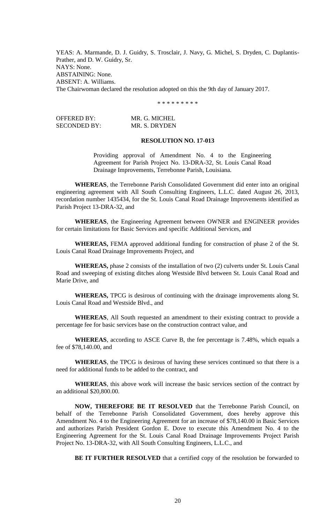YEAS: A. Marmande, D. J. Guidry, S. Trosclair, J. Navy, G. Michel, S. Dryden, C. Duplantis-Prather, and D. W. Guidry, Sr. NAYS: None. ABSTAINING: None. ABSENT: A. Williams. The Chairwoman declared the resolution adopted on this the 9th day of January 2017.

\* \* \* \* \* \* \* \* \*

OFFERED BY: MR. G. MICHEL SECONDED BY: MR. S. DRYDEN

## **RESOLUTION NO. 17-013**

Providing approval of Amendment No. 4 to the Engineering Agreement for Parish Project No. 13-DRA-32, St. Louis Canal Road Drainage Improvements, Terrebonne Parish, Louisiana.

**WHEREAS**, the Terrebonne Parish Consolidated Government did enter into an original engineering agreement with All South Consulting Engineers, L.L.C. dated August 26, 2013, recordation number 1435434, for the St. Louis Canal Road Drainage Improvements identified as Parish Project 13-DRA-32, and

**WHEREAS**, the Engineering Agreement between OWNER and ENGINEER provides for certain limitations for Basic Services and specific Additional Services, and

**WHEREAS,** FEMA approved additional funding for construction of phase 2 of the St. Louis Canal Road Drainage Improvements Project, and

**WHEREAS,** phase 2 consists of the installation of two (2) culverts under St. Louis Canal Road and sweeping of existing ditches along Westside Blvd between St. Louis Canal Road and Marie Drive, and

**WHEREAS,** TPCG is desirous of continuing with the drainage improvements along St. Louis Canal Road and Westside Blvd., and

**WHEREAS**, All South requested an amendment to their existing contract to provide a percentage fee for basic services base on the construction contract value, and

**WHEREAS**, according to ASCE Curve B, the fee percentage is 7.48%, which equals a fee of \$78,140.00, and

**WHEREAS**, the TPCG is desirous of having these services continued so that there is a need for additional funds to be added to the contract, and

**WHEREAS**, this above work will increase the basic services section of the contract by an additional \$20,800.00.

**NOW, THEREFORE BE IT RESOLVED** that the Terrebonne Parish Council, on behalf of the Terrebonne Parish Consolidated Government, does hereby approve this Amendment No. 4 to the Engineering Agreement for an increase of \$78,140.00 in Basic Services and authorizes Parish President Gordon E. Dove to execute this Amendment No. 4 to the Engineering Agreement for the St. Louis Canal Road Drainage Improvements Project Parish Project No. 13-DRA-32, with All South Consulting Engineers, L.L.C., and

**BE IT FURTHER RESOLVED** that a certified copy of the resolution be forwarded to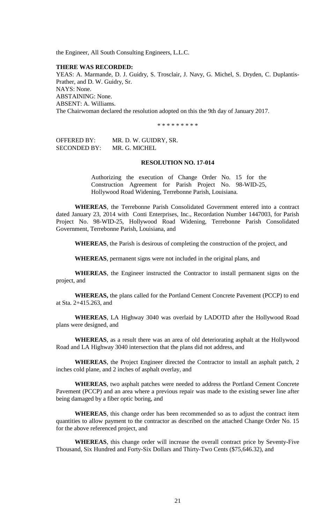the Engineer, All South Consulting Engineers, L.L.C.

## **THERE WAS RECORDED:**

YEAS: A. Marmande, D. J. Guidry, S. Trosclair, J. Navy, G. Michel, S. Dryden, C. Duplantis-Prather, and D. W. Guidry, Sr. NAYS: None. ABSTAINING: None. ABSENT: A. Williams. The Chairwoman declared the resolution adopted on this the 9th day of January 2017.

\* \* \* \* \* \* \* \* \*

OFFERED BY: MR. D. W. GUIDRY, SR. SECONDED BY: MR. G. MICHEL

# **RESOLUTION NO. 17-014**

Authorizing the execution of Change Order No. 15 for the Construction Agreement for Parish Project No. 98-WID-25, Hollywood Road Widening, Terrebonne Parish, Louisiana.

**WHEREAS**, the Terrebonne Parish Consolidated Government entered into a contract dated January 23, 2014 with Conti Enterprises, Inc., Recordation Number 1447003, for Parish Project No. 98-WID-25, Hollywood Road Widening, Terrebonne Parish Consolidated Government, Terrebonne Parish, Louisiana, and

**WHEREAS**, the Parish is desirous of completing the construction of the project, and

**WHEREAS**, permanent signs were not included in the original plans, and

**WHEREAS**, the Engineer instructed the Contractor to install permanent signs on the project, and

**WHEREAS,** the plans called for the Portland Cement Concrete Pavement (PCCP) to end at Sta. 2+415.263, and

**WHEREAS**, LA Highway 3040 was overlaid by LADOTD after the Hollywood Road plans were designed, and

**WHEREAS**, as a result there was an area of old deteriorating asphalt at the Hollywood Road and LA Highway 3040 intersection that the plans did not address, and

**WHEREAS**, the Project Engineer directed the Contractor to install an asphalt patch, 2 inches cold plane, and 2 inches of asphalt overlay, and

**WHEREAS**, two asphalt patches were needed to address the Portland Cement Concrete Pavement (PCCP) and an area where a previous repair was made to the existing sewer line after being damaged by a fiber optic boring, and

**WHEREAS**, this change order has been recommended so as to adjust the contract item quantities to allow payment to the contractor as described on the attached Change Order No. 15 for the above referenced project, and

**WHEREAS**, this change order will increase the overall contract price by Seventy-Five Thousand, Six Hundred and Forty-Six Dollars and Thirty-Two Cents (\$75,646.32), and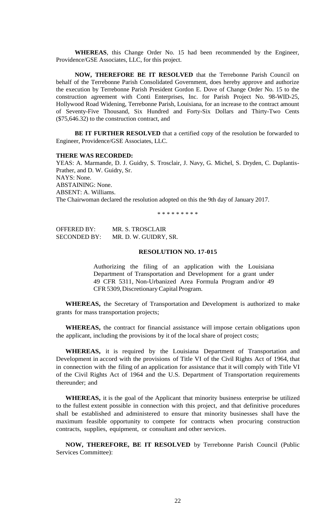**WHEREAS**, this Change Order No. 15 had been recommended by the Engineer, Providence/GSE Associates, LLC, for this project.

**NOW, THEREFORE BE IT RESOLVED** that the Terrebonne Parish Council on behalf of the Terrebonne Parish Consolidated Government, does hereby approve and authorize the execution by Terrebonne Parish President Gordon E. Dove of Change Order No. 15 to the construction agreement with Conti Enterprises, Inc. for Parish Project No. 98-WID-25, Hollywood Road Widening, Terrebonne Parish, Louisiana, for an increase to the contract amount of Seventy-Five Thousand, Six Hundred and Forty-Six Dollars and Thirty-Two Cents (\$75,646.32) to the construction contract, and

**BE IT FURTHER RESOLVED** that a certified copy of the resolution be forwarded to Engineer, Providence/GSE Associates, LLC.

#### **THERE WAS RECORDED:**

YEAS: A. Marmande, D. J. Guidry, S. Trosclair, J. Navy, G. Michel, S. Dryden, C. Duplantis-Prather, and D. W. Guidry, Sr. NAYS: None. ABSTAINING: None. ABSENT: A. Williams. The Chairwoman declared the resolution adopted on this the 9th day of January 2017.

\* \* \* \* \* \* \* \* \*

OFFERED BY: MR. S. TROSCLAIR SECONDED BY: MR. D. W. GUIDRY, SR.

# **RESOLUTION NO. 17-015**

Authorizing the filing of an application with the Louisiana Department of Transportation and Development for a grant under 49 CFR 5311, Non-Urbanized Area Formula Program and/or 49 CFR 5309, Discretionary Capital Program.

**WHEREAS,** the Secretary of Transportation and Development is authorized to make grants for mass transportation projects;

**WHEREAS,** the contract for financial assistance will impose certain obligations upon the applicant, including the provisions by it of the local share of project costs;

**WHEREAS,** it is required by the Louisiana Department of Transportation and Development in accord with the provisions of Title VI of the Civil Rights Act of 1964, that in connection with the filing of an application for assistance that it will comply with Title VI of the Civil Rights Act of 1964 and the U.S. Department of Transportation requirements thereunder; and

**WHEREAS,** it is the goal of the Applicant that minority business enterprise be utilized to the fullest extent possible in connection with this project, and that definitive procedures shall be established and administered to ensure that minority businesses shall have the maximum feasible opportunity to compete for contracts when procuring construction contracts, supplies, equipment, or consultant and other services.

**NOW, THEREFORE, BE IT RESOLVED** by Terrebonne Parish Council (Public Services Committee):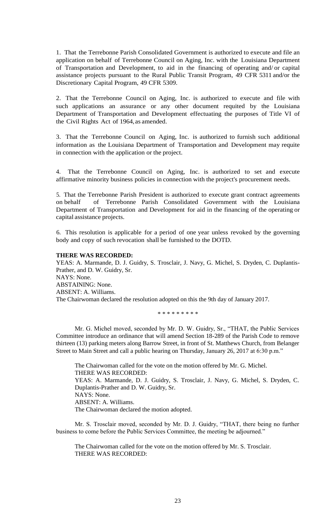1. That the Terrebonne Parish Consolidated Government is authorized to execute and file an application on behalf of Terrebonne Council on Aging, Inc. with the Louisiana Department of Transportation and Development, to aid in the financing of operating and/ or capital assistance projects pursuant to the Rural Public Transit Program, 49 CFR 5311 and/or the Discretionary Capital Program, 49 CFR 5309.

2. That the Terrebonne Council on Aging, Inc. is authorized to execute and file with such applications an assurance or any other document requited by the Louisiana Department of Transportation and Development effectuating the purposes of Title VI of the Civil Rights Act of 1964, as amended.

3. That the Terrebonne Council on Aging, Inc. is authorized to furnish such additional information as the Louisiana Department of Transportation and Development may requite in connection with the application or the project.

4. That the Terrebonne Council on Aging, Inc. is authorized to set and execute affirmative minority business policies in connection with the project's procurement needs.

5. That the Terrebonne Parish President is authorized to execute grant contract agreements on behalf of Terrebonne Parish Consolidated Government with the Louisiana Department of Transportation and Development for aid in the financing of the operating or capital assistance projects.

6. This resolution is applicable for a period of one year unless revoked by the governing body and copy of such revocation shall be furnished to the DOTD.

## **THERE WAS RECORDED:**

YEAS: A. Marmande, D. J. Guidry, S. Trosclair, J. Navy, G. Michel, S. Dryden, C. Duplantis-Prather, and D. W. Guidry, Sr. NAYS: None. ABSTAINING: None. ABSENT: A. Williams. The Chairwoman declared the resolution adopted on this the 9th day of January 2017.

\* \* \* \* \* \* \* \* \*

Mr. G. Michel moved, seconded by Mr. D. W. Guidry, Sr., "THAT, the Public Services Committee introduce an ordinance that will amend Section 18-289 of the Parish Code to remove thirteen (13) parking meters along Barrow Street, in front of St. Matthews Church, from Belanger Street to Main Street and call a public hearing on Thursday, January 26, 2017 at 6:30 p.m."

The Chairwoman called for the vote on the motion offered by Mr. G. Michel. THERE WAS RECORDED: YEAS: A. Marmande, D. J. Guidry, S. Trosclair, J. Navy, G. Michel, S. Dryden, C. Duplantis-Prather and D. W. Guidry, Sr. NAYS: None. ABSENT: A. Williams. The Chairwoman declared the motion adopted.

Mr. S. Trosclair moved, seconded by Mr. D. J. Guidry, "THAT, there being no further business to come before the Public Services Committee, the meeting be adjourned."

The Chairwoman called for the vote on the motion offered by Mr. S. Trosclair. THERE WAS RECORDED: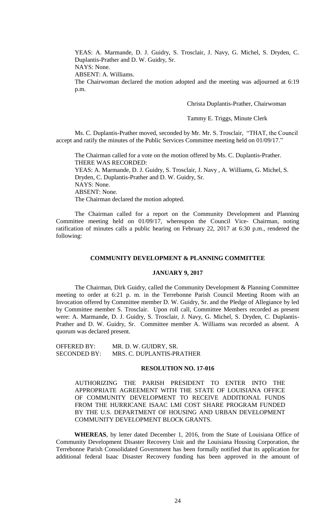YEAS: A. Marmande, D. J. Guidry, S. Trosclair, J. Navy, G. Michel, S. Dryden, C. Duplantis-Prather and D. W. Guidry, Sr.

NAYS: None.

ABSENT: A. Williams.

The Chairwoman declared the motion adopted and the meeting was adjourned at 6:19 p.m.

Christa Duplantis-Prather, Chairwoman

Tammy E. Triggs, Minute Clerk

Ms. C. Duplantis-Prather moved, seconded by Mr. Mr. S. Trosclair, "THAT, the Council accept and ratify the minutes of the Public Services Committee meeting held on 01/09/17."

The Chairman called for a vote on the motion offered by Ms. C. Duplantis-Prather. THERE WAS RECORDED: YEAS: A. Marmande, D. J. Guidry, S. Trosclair, J. Navy , A. Williams, G. Michel, S.

Dryden, C. Duplantis-Prather and D. W. Guidry, Sr. NAYS: None. ABSENT: None. The Chairman declared the motion adopted.

The Chairman called for a report on the Community Development and Planning Committee meeting held on 01/09/17, whereupon the Council Vice- Chairman, noting ratification of minutes calls a public hearing on February 22, 2017 at 6:30 p.m., rendered the following:

### **COMMUNITY DEVELOPMENT & PLANNING COMMITTEE**

# **JANUARY 9, 2017**

The Chairman, Dirk Guidry, called the Community Development & Planning Committee meeting to order at 6:21 p. m. in the Terrebonne Parish Council Meeting Room with an Invocation offered by Committee member D. W. Guidry, Sr. and the Pledge of Allegiance by led by Committee member S. Trosclair. Upon roll call, Committee Members recorded as present were: A. Marmande, D. J. Guidry, S. Trosclair, J. Navy, G. Michel, S. Dryden, C. Duplantis-Prather and D. W. Guidry, Sr. Committee member A. Williams was recorded as absent. A quorum was declared present.

OFFERED BY: MR. D. W. GUIDRY, SR. SECONDED BY: MRS. C. DUPLANTIS-PRATHER

### **RESOLUTION NO. 17-016**

AUTHORIZING THE PARISH PRESIDENT TO ENTER INTO THE APPROPRIATE AGREEMENT WITH THE STATE OF LOUISIANA OFFICE OF COMMUNITY DEVELOPMENT TO RECEIVE ADDITIONAL FUNDS FROM THE HURRICANE ISAAC LMI COST SHARE PROGRAM FUNDED BY THE U.S. DEPARTMENT OF HOUSING AND URBAN DEVELOPMENT COMMUNITY DEVELOPMENT BLOCK GRANTS.

**WHEREAS**, by letter dated December 1, 2016, from the State of Louisiana Office of Community Development Disaster Recovery Unit and the Louisiana Housing Corporation, the Terrebonne Parish Consolidated Government has been formally notified that its application for additional federal Isaac Disaster Recovery funding has been approved in the amount of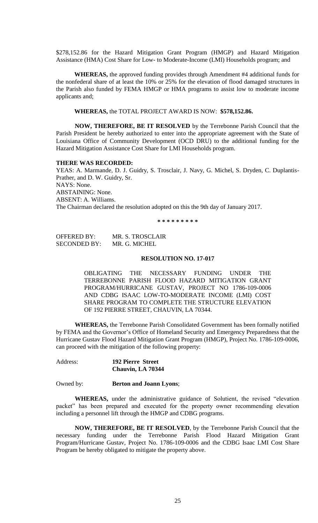\$278,152.86 for the Hazard Mitigation Grant Program (HMGP) and Hazard Mitigation Assistance (HMA) Cost Share for Low- to Moderate-Income (LMI) Households program; and

**WHEREAS,** the approved funding provides through Amendment #4 additional funds for the nonfederal share of at least the 10% or 25% for the elevation of flood damaged structures in the Parish also funded by FEMA HMGP or HMA programs to assist low to moderate income applicants and;

**WHEREAS,** the TOTAL PROJECT AWARD IS NOW: **\$578,152.86.**

**NOW, THEREFORE, BE IT RESOLVED** by the Terrebonne Parish Council that the Parish President be hereby authorized to enter into the appropriate agreement with the State of Louisiana Office of Community Development (OCD DRU) to the additional funding for the Hazard Mitigation Assistance Cost Share for LMI Households program.

#### **THERE WAS RECORDED:**

YEAS: A. Marmande, D. J. Guidry, S. Trosclair, J. Navy, G. Michel, S. Dryden, C. Duplantis-Prather, and D. W. Guidry, Sr. NAYS: None. ABSTAINING: None. ABSENT: A. Williams. The Chairman declared the resolution adopted on this the 9th day of January 2017.

**\* \* \* \* \* \* \* \* \***

OFFERED BY: MR. S. TROSCLAIR SECONDED BY: MR. G. MICHEL

## **RESOLUTION NO. 17-017**

OBLIGATING THE NECESSARY FUNDING UNDER THE TERREBONNE PARISH FLOOD HAZARD MITIGATION GRANT PROGRAM/HURRICANE GUSTAV, PROJECT NO 1786-109-0006 AND CDBG ISAAC LOW-TO-MODERATE INCOME (LMI) COST SHARE PROGRAM TO COMPLETE THE STRUCTURE ELEVATION OF 192 PIERRE STREET, CHAUVIN, LA 70344.

**WHEREAS,** the Terrebonne Parish Consolidated Government has been formally notified by FEMA and the Governor's Office of Homeland Security and Emergency Preparedness that the Hurricane Gustav Flood Hazard Mitigation Grant Program (HMGP), Project No. 1786-109-0006, can proceed with the mitigation of the following property:

| Address: | <b>192 Pierre Street</b> |
|----------|--------------------------|
|          | Chauvin, LA 70344        |

### Owned by: **Berton and Joann Lyons**;

**WHEREAS,** under the administrative guidance of Solutient, the revised "elevation packet" has been prepared and executed for the property owner recommending elevation including a personnel lift through the HMGP and CDBG programs.

**NOW, THEREFORE, BE IT RESOLVED**, by the Terrebonne Parish Council that the necessary funding under the Terrebonne Parish Flood Hazard Mitigation Grant Program/Hurricane Gustav, Project No. 1786-109-0006 and the CDBG Isaac LMI Cost Share Program be hereby obligated to mitigate the property above.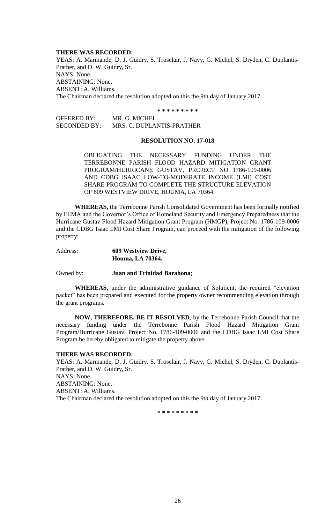#### **THERE WAS RECORDED:**

YEAS: A. Marmande, D. J. Guidry, S. Trosclair, J. Navy, G. Michel, S. Dryden, C. Duplantis-Prather, and D. W. Guidry, Sr. NAYS: None. ABSTAINING: None. ABSENT: A. Williams. The Chairman declared the resolution adopted on this the 9th day of January 2017.

**\* \* \* \* \* \* \* \* \***

OFFERED BY: MR. G. MICHEL SECONDED BY: MRS. C. DUPLANTIS-PRATHER

#### **RESOLUTION NO. 17-018**

OBLIGATING THE NECESSARY FUNDING UNDER THE TERREBONNE PARISH FLOOD HAZARD MITIGATION GRANT PROGRAM/HURRICANE GUSTAV, PROJECT NO 1786-109-0006 AND CDBG ISAAC LOW-TO-MODERATE INCOME (LMI) COST SHARE PROGRAM TO COMPLETE THE STRUCTURE ELEVATION OF 609 WESTVIEW DRIVE, HOUMA, LA 70364.

**WHEREAS,** the Terrebonne Parish Consolidated Government has been formally notified by FEMA and the Governor's Office of Homeland Security and Emergency Preparedness that the Hurricane Gustav Flood Hazard Mitigation Grant Program (HMGP), Project No. 1786-109-0006 and the CDBG Isaac LMI Cost Share Program, can proceed with the mitigation of the following property:

| Address: | 609 Westview Drive, |
|----------|---------------------|
|          | Houma, LA 70364.    |

Owned by: **Juan and Trinidad Barahona**;

**WHEREAS,** under the administrative guidance of Solutient, the required "elevation packet" has been prepared and executed for the property owner recommending elevation through the grant programs.

**NOW, THEREFORE, BE IT RESOLVED**, by the Terrebonne Parish Council that the necessary funding under the Terrebonne Parish Flood Hazard Mitigation Grant Program/Hurricane Gustav, Project No. 1786-109-0006 and the CDBG Isaac LMI Cost Share Program be hereby obligated to mitigate the property above.

#### **THERE WAS RECORDED:**

YEAS: A. Marmande, D. J. Guidry, S. Trosclair, J. Navy, G. Michel, S. Dryden, C. Duplantis-Prather, and D. W. Guidry, Sr. NAYS: None. ABSTAINING: None. ABSENT: A. Williams. The Chairman declared the resolution adopted on this the 9th day of January 2017.

**\* \* \* \* \* \* \* \* \***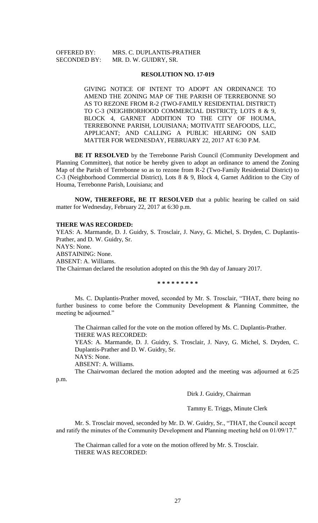OFFERED BY: MRS. C. DUPLANTIS-PRATHER SECONDED BY: MR. D. W. GUIDRY, SR.

### **RESOLUTION NO. 17-019**

GIVING NOTICE OF INTENT TO ADOPT AN ORDINANCE TO AMEND THE ZONING MAP OF THE PARISH OF TERREBONNE SO AS TO REZONE FROM R-2 (TWO-FAMILY RESIDENTIAL DISTRICT) TO C-3 (NEIGHBORHOOD COMMERCIAL DISTRICT); LOTS 8 & 9, BLOCK 4, GARNET ADDITION TO THE CITY OF HOUMA, TERREBONNE PARISH, LOUISIANA; MOTIVATIT SEAFOODS, LLC, APPLICANT; AND CALLING A PUBLIC HEARING ON SAID MATTER FOR WEDNESDAY, FEBRUARY 22, 2017 AT 6:30 P.M.

**BE IT RESOLVED** by the Terrebonne Parish Council (Community Development and Planning Committee), that notice be hereby given to adopt an ordinance to amend the Zoning Map of the Parish of Terrebonne so as to rezone from R-2 (Two-Family Residential District) to C-3 (Neighborhood Commercial District), Lots 8 & 9, Block 4, Garnet Addition to the City of Houma, Terrebonne Parish, Louisiana; and

**NOW, THEREFORE, BE IT RESOLVED** that a public hearing be called on said matter for Wednesday, February 22, 2017 at 6:30 p.m.

#### **THERE WAS RECORDED:**

YEAS: A. Marmande, D. J. Guidry, S. Trosclair, J. Navy, G. Michel, S. Dryden, C. Duplantis-Prather, and D. W. Guidry, Sr. NAYS: None. ABSTAINING: None. ABSENT: A. Williams. The Chairman declared the resolution adopted on this the 9th day of January 2017.

**\* \* \* \* \* \* \* \* \***

Ms. C. Duplantis-Prather moved, seconded by Mr. S. Trosclair, "THAT, there being no further business to come before the Community Development & Planning Committee, the meeting be adjourned."

The Chairman called for the vote on the motion offered by Ms. C. Duplantis-Prather. THERE WAS RECORDED:

YEAS: A. Marmande, D. J. Guidry, S. Trosclair, J. Navy, G. Michel, S. Dryden, C. Duplantis-Prather and D. W. Guidry, Sr.

NAYS: None.

ABSENT: A. Williams.

The Chairwoman declared the motion adopted and the meeting was adjourned at 6:25 p.m.

Dirk J. Guidry, Chairman

Tammy E. Triggs, Minute Clerk

Mr. S. Trosclair moved, seconded by Mr. D. W. Guidry, Sr., "THAT, the Council accept and ratify the minutes of the Community Development and Planning meeting held on 01/09/17."

The Chairman called for a vote on the motion offered by Mr. S. Trosclair. THERE WAS RECORDED: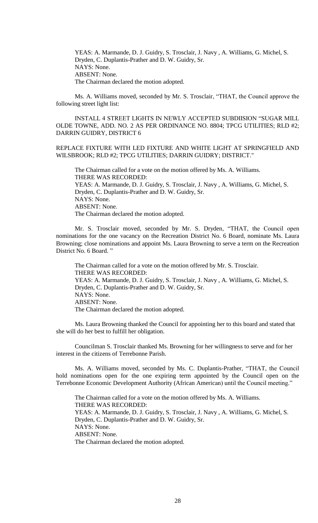YEAS: A. Marmande, D. J. Guidry, S. Trosclair, J. Navy , A. Williams, G. Michel, S. Dryden, C. Duplantis-Prather and D. W. Guidry, Sr. NAYS: None. ABSENT: None. The Chairman declared the motion adopted.

Ms. A. Williams moved, seconded by Mr. S. Trosclair, "THAT, the Council approve the following street light list:

INSTALL 4 STREET LIGHTS IN NEWLY ACCEPTED SUBDIISION "SUGAR MILL OLDE TOWNE, ADD. NO. 2 AS PER ORDINANCE NO. 8804; TPCG UTILITIES; RLD #2; DARRIN GUIDRY, DISTRICT 6

REPLACE FIXTURE WITH LED FIXTURE AND WHITE LIGHT AT SPRINGFIELD AND WILSBROOK; RLD #2; TPCG UTILITIES; DARRIN GUIDRY; DISTRICT."

The Chairman called for a vote on the motion offered by Ms. A. Williams. THERE WAS RECORDED: YEAS: A. Marmande, D. J. Guidry, S. Trosclair, J. Navy , A. Williams, G. Michel, S. Dryden, C. Duplantis-Prather and D. W. Guidry, Sr. NAYS: None. ABSENT: None. The Chairman declared the motion adopted.

Mr. S. Trosclair moved, seconded by Mr. S. Dryden, "THAT, the Council open nominations for the one vacancy on the Recreation District No. 6 Board, nominate Ms. Laura Browning; close nominations and appoint Ms. Laura Browning to serve a term on the Recreation District No. 6 Board. "

The Chairman called for a vote on the motion offered by Mr. S. Trosclair. THERE WAS RECORDED: YEAS: A. Marmande, D. J. Guidry, S. Trosclair, J. Navy , A. Williams, G. Michel, S. Dryden, C. Duplantis-Prather and D. W. Guidry, Sr. NAYS: None. ABSENT: None. The Chairman declared the motion adopted.

Ms. Laura Browning thanked the Council for appointing her to this board and stated that she will do her best to fulfill her obligation.

Councilman S. Trosclair thanked Ms. Browning for her willingness to serve and for her interest in the citizens of Terrebonne Parish.

Ms. A. Williams moved, seconded by Ms. C. Duplantis-Prather, "THAT, the Council hold nominations open for the one expiring term appointed by the Council open on the Terrebonne Economic Development Authority (African American) until the Council meeting."

The Chairman called for a vote on the motion offered by Ms. A. Williams. THERE WAS RECORDED: YEAS: A. Marmande, D. J. Guidry, S. Trosclair, J. Navy , A. Williams, G. Michel, S. Dryden, C. Duplantis-Prather and D. W. Guidry, Sr. NAYS: None. ABSENT: None. The Chairman declared the motion adopted.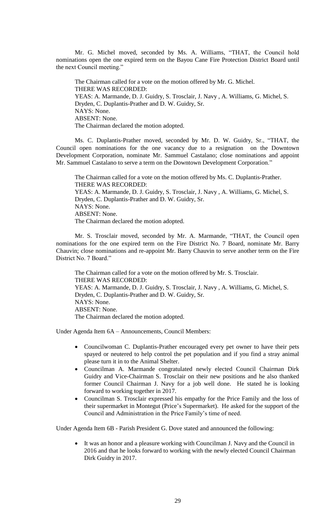Mr. G. Michel moved, seconded by Ms. A. Williams, "THAT, the Council hold nominations open the one expired term on the Bayou Cane Fire Protection District Board until the next Council meeting."

The Chairman called for a vote on the motion offered by Mr. G. Michel. THERE WAS RECORDED: YEAS: A. Marmande, D. J. Guidry, S. Trosclair, J. Navy , A. Williams, G. Michel, S. Dryden, C. Duplantis-Prather and D. W. Guidry, Sr. NAYS: None. ABSENT: None. The Chairman declared the motion adopted.

Ms. C. Duplantis-Prather moved, seconded by Mr. D. W. Guidry, Sr., "THAT, the Council open nominations for the one vacancy due to a resignation on the Downtown Development Corporation, nominate Mr. Sammuel Castalano; close nominations and appoint Mr. Sammuel Castalano to serve a term on the Downtown Development Corporation."

The Chairman called for a vote on the motion offered by Ms. C. Duplantis-Prather. THERE WAS RECORDED: YEAS: A. Marmande, D. J. Guidry, S. Trosclair, J. Navy , A. Williams, G. Michel, S. Dryden, C. Duplantis-Prather and D. W. Guidry, Sr. NAYS: None. ABSENT: None. The Chairman declared the motion adopted.

Mr. S. Trosclair moved, seconded by Mr. A. Marmande, "THAT, the Council open nominations for the one expired term on the Fire District No. 7 Board, nominate Mr. Barry Chauvin; close nominations and re-appoint Mr. Barry Chauvin to serve another term on the Fire District No. 7 Board."

The Chairman called for a vote on the motion offered by Mr. S. Trosclair. THERE WAS RECORDED: YEAS: A. Marmande, D. J. Guidry, S. Trosclair, J. Navy , A. Williams, G. Michel, S. Dryden, C. Duplantis-Prather and D. W. Guidry, Sr. NAYS: None. ABSENT: None. The Chairman declared the motion adopted.

Under Agenda Item 6A – Announcements, Council Members:

- Councilwoman C. Duplantis-Prather encouraged every pet owner to have their pets spayed or neutered to help control the pet population and if you find a stray animal please turn it in to the Animal Shelter.
- Councilman A. Marmande congratulated newly elected Council Chairman Dirk Guidry and Vice-Chairman S. Trosclair on their new positions and he also thanked former Council Chairman J. Navy for a job well done. He stated he is looking forward to working together in 2017.
- Councilman S. Trosclair expressed his empathy for the Price Family and the loss of their supermarket in Montegut (Price's Supermarket). He asked for the support of the Council and Administration in the Price Family's time of need.

Under Agenda Item 6B - Parish President G. Dove stated and announced the following:

 It was an honor and a pleasure working with Councilman J. Navy and the Council in 2016 and that he looks forward to working with the newly elected Council Chairman Dirk Guidry in 2017.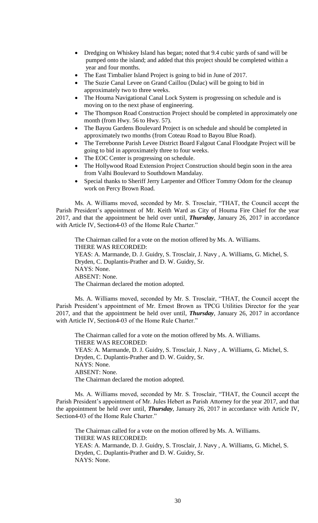- Dredging on Whiskey Island has began; noted that 9.4 cubic yards of sand will be pumped onto the island; and added that this project should be completed within a year and four months.
- The East Timbalier Island Project is going to bid in June of 2017.
- The Suzie Canal Levee on Grand Caillou (Dulac) will be going to bid in approximately two to three weeks.
- The Houma Navigational Canal Lock System is progressing on schedule and is moving on to the next phase of engineering.
- The Thompson Road Construction Project should be completed in approximately one month (from Hwy. 56 to Hwy. 57).
- The Bayou Gardens Boulevard Project is on schedule and should be completed in approximately two months (from Coteau Road to Bayou Blue Road).
- The Terrebonne Parish Levee District Board Falgout Canal Floodgate Project will be going to bid in approximately three to four weeks.
- The EOC Center is progressing on schedule.
- The Hollywood Road Extension Project Construction should begin soon in the area from Valhi Boulevard to Southdown Mandalay.
- Special thanks to Sheriff Jerry Larpenter and Officer Tommy Odom for the cleanup work on Percy Brown Road.

Ms. A. Williams moved, seconded by Mr. S. Trosclair, "THAT, the Council accept the Parish President's appointment of Mr. Keith Ward as City of Houma Fire Chief for the year 2017, and that the appointment be held over until, *Thursday*, January 26, 2017 in accordance with Article IV, Section4-03 of the Home Rule Charter."

The Chairman called for a vote on the motion offered by Ms. A. Williams. THERE WAS RECORDED: YEAS: A. Marmande, D. J. Guidry, S. Trosclair, J. Navy , A. Williams, G. Michel, S. Dryden, C. Duplantis-Prather and D. W. Guidry, Sr. NAYS: None. ABSENT: None. The Chairman declared the motion adopted.

Ms. A. Williams moved, seconded by Mr. S. Trosclair, "THAT, the Council accept the Parish President's appointment of Mr. Ernest Brown as TPCG Utilities Director for the year 2017, and that the appointment be held over until, *Thursday*, January 26, 2017 in accordance with Article IV, Section4-03 of the Home Rule Charter."

The Chairman called for a vote on the motion offered by Ms. A. Williams. THERE WAS RECORDED: YEAS: A. Marmande, D. J. Guidry, S. Trosclair, J. Navy , A. Williams, G. Michel, S. Dryden, C. Duplantis-Prather and D. W. Guidry, Sr. NAYS: None. ABSENT: None. The Chairman declared the motion adopted.

Ms. A. Williams moved, seconded by Mr. S. Trosclair, "THAT, the Council accept the Parish President's appointment of Mr. Jules Hebert as Parish Attorney for the year 2017, and that the appointment be held over until, *Thursday*, January 26, 2017 in accordance with Article IV, Section4-03 of the Home Rule Charter."

The Chairman called for a vote on the motion offered by Ms. A. Williams. THERE WAS RECORDED: YEAS: A. Marmande, D. J. Guidry, S. Trosclair, J. Navy , A. Williams, G. Michel, S. Dryden, C. Duplantis-Prather and D. W. Guidry, Sr. NAYS: None.